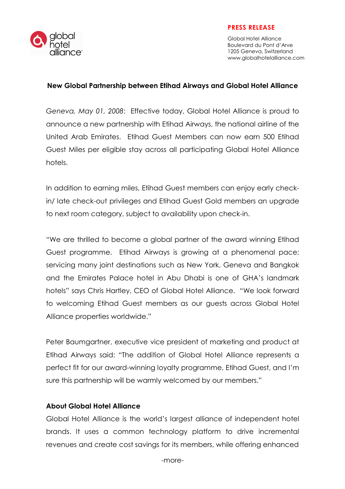

#### PRESS RELEASE

Global Hotel Alliance Boulevard du Pont d'Arve 1205 Geneva, Switzerland www.globalhotelalliance.com

#### New Global Partnership between Etihad Airways and Global Hotel Alliance

Geneva, May 01, 2008: Effective today, Global Hotel Alliance is proud to announce a new partnership with Etihad Airways, the national airline of the United Arab Emirates. Etihad Guest Members can now earn 500 Etihad Guest Miles per eligible stay across all participating Global Hotel Alliance hotels.

In addition to earning miles, Etihad Guest members can enjoy early checkin/ late check-out privileges and Etihad Guest Gold members an upgrade to next room category, subject to availability upon check-in.

"We are thrilled to become a global partner of the award winning Etihad Guest programme. Etihad Airways is growing at a phenomenal pace; servicing many joint destinations such as New York, Geneva and Bangkok and the Emirates Palace hotel in Abu Dhabi is one of GHA's landmark hotels" says Chris Hartley, CEO of Global Hotel Alliance. "We look forward to welcoming Etihad Guest members as our guests across Global Hotel Alliance properties worldwide."

Peter Baumgartner, executive vice president of marketing and product at Etihad Airways said: "The addition of Global Hotel Alliance represents a perfect fit for our award-winning loyalty programme, Etihad Guest, and I'm sure this partnership will be warmly welcomed by our members."

### About Global Hotel Alliance

Global Hotel Alliance is the world's largest alliance of independent hotel brands. It uses a common technology platform to drive incremental revenues and create cost savings for its members, while offering enhanced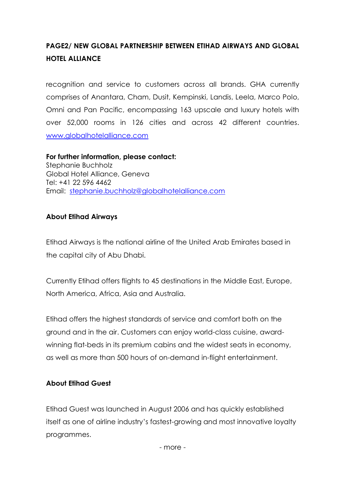# PAGE2/ NEW GLOBAL PARTNERSHIP BETWEEN ETIHAD AIRWAYS AND GLOBAL HOTEL ALLIANCE

recognition and service to customers across all brands. GHA currently comprises of Anantara, Cham, Dusit, Kempinski, Landis, Leela, Marco Polo, Omni and Pan Pacific, encompassing 163 upscale and luxury hotels with over 52,000 rooms in 126 cities and across 42 different countries. www.globalhotelalliance.com

For further information, please contact: Stephanie Buchholz Global Hotel Alliance, Geneva Tel: +41 22 596 4462 Email: stephanie.buchholz@globalhotelalliance.com

## About Etihad Airways

Etihad Airways is the national airline of the United Arab Emirates based in the capital city of Abu Dhabi.

Currently Etihad offers flights to 45 destinations in the Middle East, Europe, North America, Africa, Asia and Australia.

Etihad offers the highest standards of service and comfort both on the ground and in the air. Customers can enjoy world-class cuisine, awardwinning flat-beds in its premium cabins and the widest seats in economy, as well as more than 500 hours of on-demand in-flight entertainment.

## About Etihad Guest

Etihad Guest was launched in August 2006 and has quickly established itself as one of airline industry's fastest-growing and most innovative loyalty programmes.